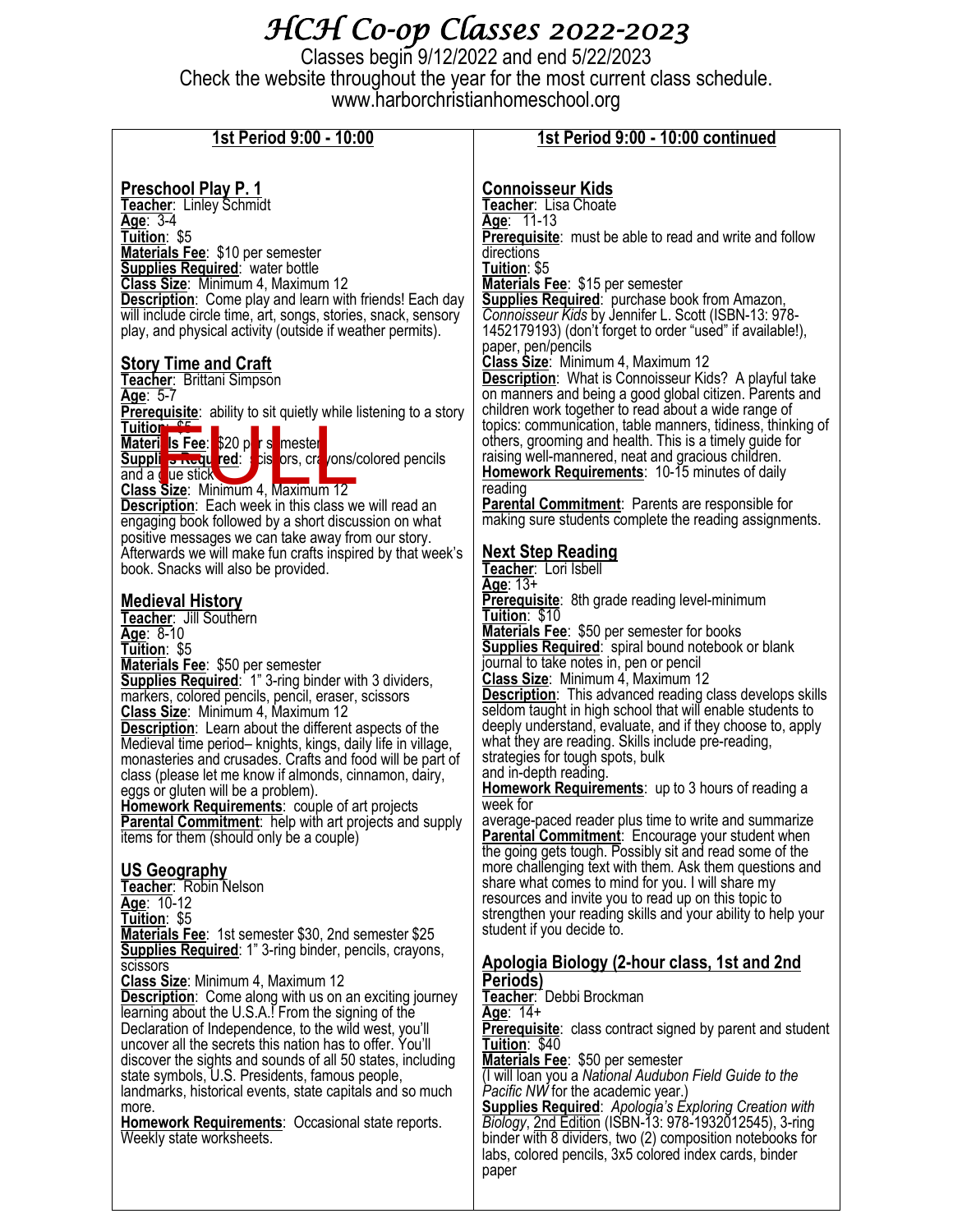# *HCH Co-op Classes 2022-2023*

Classes begin 9/12/2022 and end 5/22/2023 Check the website throughout the year for the most current class schedule. www.harborchristianhomeschool.org

| 1st Period 9:00 - 10:00                                                                                                                                                                                                                                                                                                                                                                                                                                                                                                                                                                                                                                                                                                                                                                                                                                                                                                                                                                                                                                                                                                                                                                                                                                                                                                                                                                                                                                                                                                                                                                                                                                                                                                                                                                                                                                                                                                                                                                                                                                                                                                                                                                                                                                                                                                                                                                                                                                                                                                                                            | 1st Period 9:00 - 10:00 continued                                                                                                                                                                                                                                                                                                                                                                                                                                                                                                                                                                                                                                                                                                                                                                                                                                                                                                                                                                                                                                                                                                                                                                                                                                                                                                                                                                                                                                                                                                                                                                                                                                                                                                                                                                                                                                                                                                                                                                                                                                                                                                                                                                                                                                                                                                                                                                                                                                                                                                                                                                                                                                                                                                                                          |
|--------------------------------------------------------------------------------------------------------------------------------------------------------------------------------------------------------------------------------------------------------------------------------------------------------------------------------------------------------------------------------------------------------------------------------------------------------------------------------------------------------------------------------------------------------------------------------------------------------------------------------------------------------------------------------------------------------------------------------------------------------------------------------------------------------------------------------------------------------------------------------------------------------------------------------------------------------------------------------------------------------------------------------------------------------------------------------------------------------------------------------------------------------------------------------------------------------------------------------------------------------------------------------------------------------------------------------------------------------------------------------------------------------------------------------------------------------------------------------------------------------------------------------------------------------------------------------------------------------------------------------------------------------------------------------------------------------------------------------------------------------------------------------------------------------------------------------------------------------------------------------------------------------------------------------------------------------------------------------------------------------------------------------------------------------------------------------------------------------------------------------------------------------------------------------------------------------------------------------------------------------------------------------------------------------------------------------------------------------------------------------------------------------------------------------------------------------------------------------------------------------------------------------------------------------------------|----------------------------------------------------------------------------------------------------------------------------------------------------------------------------------------------------------------------------------------------------------------------------------------------------------------------------------------------------------------------------------------------------------------------------------------------------------------------------------------------------------------------------------------------------------------------------------------------------------------------------------------------------------------------------------------------------------------------------------------------------------------------------------------------------------------------------------------------------------------------------------------------------------------------------------------------------------------------------------------------------------------------------------------------------------------------------------------------------------------------------------------------------------------------------------------------------------------------------------------------------------------------------------------------------------------------------------------------------------------------------------------------------------------------------------------------------------------------------------------------------------------------------------------------------------------------------------------------------------------------------------------------------------------------------------------------------------------------------------------------------------------------------------------------------------------------------------------------------------------------------------------------------------------------------------------------------------------------------------------------------------------------------------------------------------------------------------------------------------------------------------------------------------------------------------------------------------------------------------------------------------------------------------------------------------------------------------------------------------------------------------------------------------------------------------------------------------------------------------------------------------------------------------------------------------------------------------------------------------------------------------------------------------------------------------------------------------------------------------------------------------------------------|
| <u>Preschool Play P. 1</u><br>Teacher: Linley Schmidt<br>Age: $3-4$<br>Tuition: \$5<br>Materials Fee: \$10 per semester<br><b>Supplies Required: water bottle</b><br>Class Size: Minimum 4, Maximum 12<br><b>Description:</b> Come play and learn with friends! Each day<br>will include circle time, art, songs, stories, snack, sensory<br>play, and physical activity (outside if weather permits).<br><b>Story Time and Craft</b><br>Teacher: Brittani Simpson<br>Age: 5-7<br><b>Prerequisite:</b> ability to sit quietly while listening to a story<br><b>Tuition Og</b><br>Materi Is Fee: 620 p <mark>r s</mark> mester<br><b>Suppli s Requ red:</b> cis ors, cra /ons/colored pencils<br>and a cue stick<br>Class Size: Minimum 4, Maximum 12<br><b>Description:</b> Each week in this class we will read an<br>engaging book followed by a short discussion on what<br>positive messages we can take away from our story.<br>Afterwards we will make fun crafts inspired by that week's<br>book. Snacks will also be provided.<br><b>Medieval History</b><br>Teacher: Jill Southern<br>Age: $8-10$<br>Tuition: \$5<br>Materials Fee: \$50 per semester<br><b>Supplies Required:</b> 1" 3-ring binder with 3 dividers,<br>markers, colored pencils, pencil, eraser, scissors<br>Class Size: Minimum 4, Maximum 12<br><b>Description:</b> Learn about the different aspects of the<br>Medieval time period- knights, kings, daily life in village,<br>monasteries and crusades. Crafts and food will be part of<br>class (please let me know if almonds, cinnamon, dairy,<br>eggs or gluten will be a problem).<br>Homework Requirements: couple of art projects<br><b>Parental Commitment:</b> help with art projects and supply<br>items for them (should only be a couple)<br><b>US Geography</b><br>Teacher: Robin Nelson<br>Age: 10-12<br>Tuition: \$5<br>Materials Fee: 1st semester \$30, 2nd semester \$25<br><b>Supplies Required:</b> 1" 3-ring binder, pencils, crayons,<br>scissors<br>Class Size: Minimum 4, Maximum 12<br><b>Description:</b> Come along with us on an exciting journey<br>learning about the U.S.A.! From the signing of the<br>Declaration of Independence, to the wild west, you'll<br>uncover all the secrets this nation has to offer. You'll<br>discover the sights and sounds of all 50 states, including<br>state symbols, U.S. Presidents, famous people,<br>landmarks, historical events, state capitals and so much<br>more.<br><b>Homework Requirements: Occasional state reports.</b><br>Weekly state worksheets. | <b>Connoisseur Kids</b><br>Teacher: Lisa Choate<br>Age: 11-13<br><b>Prerequisite:</b> must be able to read and write and follow<br>directions<br>Tuition: \$5<br>Materials Fee: \$15 per semester<br><b>Supplies Required:</b> purchase book from Amazon,<br>Connoisseur Kids by Jennifer L. Scott (ISBN-13: 978-<br>1452179193) (don't forget to order "used" if available!),<br>paper, pen/pencils<br>Class Size: Minimum 4, Maximum 12<br><b>Description:</b> What is Connoisseur Kids? A playful take<br>on manners and being a good global citizen. Parents and<br>children work together to read about a wide range of<br>topics: communication, table manners, tidiness, thinking of<br>others, grooming and health. This is a timely guide for<br>raising well-mannered, neat and gracious children.<br><b>Homework Requirements: 10-15 minutes of daily</b><br>reading<br><b>Parental Commitment:</b> Parents are responsible for<br>making sure students complete the reading assignments.<br><b>Next Step Reading</b><br>Teacher: Lori Isbell<br>Age: $13+$<br><b>Prerequisite:</b> 8th grade reading level-minimum<br>Tuition: \$10<br><b>Materials Fee: \$50 per semester for books</b><br><b>Supplies Required:</b> spiral bound notebook or blank<br>journal to take notes in, pen or pencil<br>Class Size: Minimum 4, Maximum 12<br><b>Description:</b> This advanced reading class develops skills<br>seldom taught in high school that will enable students to<br>deeply understand, evaluate, and if they choose to, apply<br>what they are reading. Skills include pre-reading,<br>strategies for tough spots, bulk<br>and in-depth reading.<br><b>Homework Requirements:</b> up to 3 hours of reading a<br>week for<br>average-paced reader plus time to write and summarize<br>Parental Commitment: Encourage your student when<br>the going gets tough. Possibly sit and read some of the<br>more challenging text with them. Ask them questions and<br>share what comes to mind for you. I will share my<br>resources and invite you to read up on this topic to<br>strengthen your reading skills and your ability to help your<br>student if you decide to.<br><u>Apologia Biology (2-hour class, 1st and 2nd</u><br>Periods)<br>Teacher: Debbi Brockman<br>Age: $14+$<br><b>Prerequisite:</b> class contract signed by parent and student<br>Tuition: \$40<br>Materials Fee: \$50 per semester<br>(I will loan you a National Audubon Field Guide to the<br>Pacific NW for the academic year.)<br><b>Supplies Required:</b> Apologia's Exploring Creation with<br>Biology, 2nd Edition (ISBN-13: 978-1932012545), 3-ring<br>binder with 8 dividers, two (2) composition notebooks for<br>labs, colored pencils, 3x5 colored index cards, binder |
|                                                                                                                                                                                                                                                                                                                                                                                                                                                                                                                                                                                                                                                                                                                                                                                                                                                                                                                                                                                                                                                                                                                                                                                                                                                                                                                                                                                                                                                                                                                                                                                                                                                                                                                                                                                                                                                                                                                                                                                                                                                                                                                                                                                                                                                                                                                                                                                                                                                                                                                                                                    | paper                                                                                                                                                                                                                                                                                                                                                                                                                                                                                                                                                                                                                                                                                                                                                                                                                                                                                                                                                                                                                                                                                                                                                                                                                                                                                                                                                                                                                                                                                                                                                                                                                                                                                                                                                                                                                                                                                                                                                                                                                                                                                                                                                                                                                                                                                                                                                                                                                                                                                                                                                                                                                                                                                                                                                                      |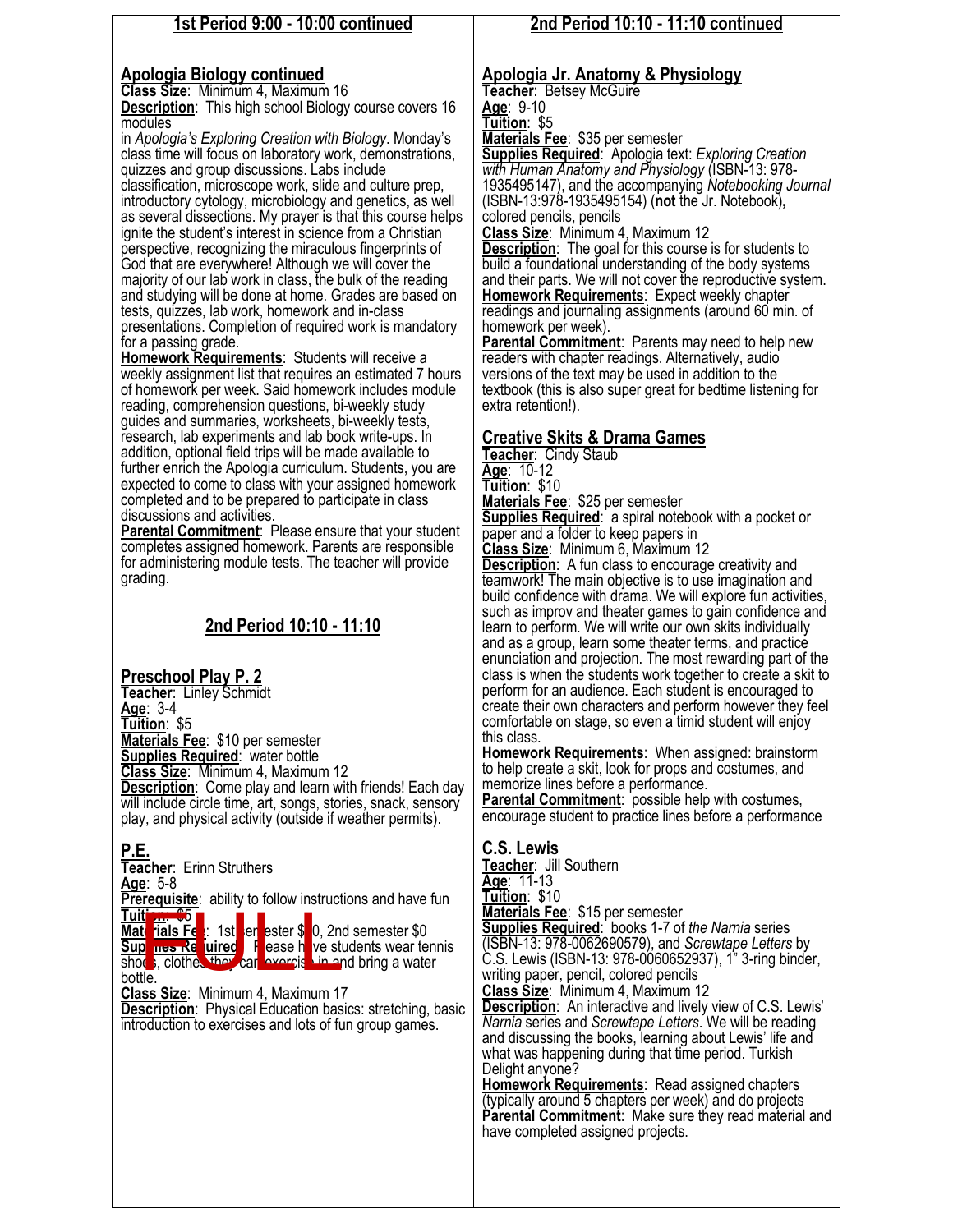#### **1st Period 9:00 - 10:00 continued**

#### **Apologia Biology continued**

**Class Size**: Minimum 4, Maximum 16

**Description:** This high school Biology course covers 16 modules

in *Apologia's Exploring Creation with Biology*. Monday's class time will focus on laboratory work, demonstrations, quizzes and group discussions. Labs include classification, microscope work, slide and culture prep, introductory cytology, microbiology and genetics, as well as several dissections. My prayer is that this course helps ignite the student's interest in science from a Christian perspective, recognizing the miraculous fingerprints of God that are everywhere! Although we will cover the majority of our lab work in class, the bulk of the reading and studying will be done at home. Grades are based on tests, quizzes, lab work, homework and in-class

presentations. Completion of required work is mandatory for a passing grade.

**Homework Requirements**: Students will receive a weekly assignment list that requires an estimated 7 hours of homework per week. Said homework includes module reading, comprehension questions, bi-weekly study guides and summaries, worksheets, bi-weekly tests, research, lab experiments and lab book write-ups. In addition, optional field trips will be made available to further enrich the Apologia curriculum. Students, you are expected to come to class with your assigned homework completed and to be prepared to participate in class discussions and activities.

**Parental Commitment:** Please ensure that your student completes assigned homework. Parents are responsible for administering module tests. The teacher will provide grading.

## **2nd Period 10:10 - 11:10**

#### **Preschool Play P. 2**

**Teacher**: Linley Schmidt **Age**: 3-4 **Tuition**: \$5 **Materials Fee**: \$10 per semester **Supplies Required**: water bottle **Class Size**: Minimum 4, Maximum 12 **Description:** Come play and learn with friends! Each day will include circle time, art, songs, stories, snack, sensory play, and physical activity (outside if weather permits).

**P.E. Teacher**: Erinn Struthers **Age**: 5-8 **Prerequisite:** ability to follow instructions and have fun **Tuit n. \$5**<br>Materials Fe 1st**er** ester \$**0**, 2nd semester \$0 **Sup lies Required** Fease have students wear tennis shoes, clothes they can exercise in and bring a water bottle. **Exercise:**<br> **The Felixer State of State State State State State State State State State State State State State State State State State State State State State State State State State State State State State State State S** 

**Class Size**: Minimum 4, Maximum 17 **Description**:Physical Education basics: stretching, basic introduction to exercises and lots of fun group games.

#### **2nd Period 10:10 - 11:10 continued**

### **Apologia Jr. Anatomy & Physiology**

**Teacher**: Betsey McGuire

**Age**: 9-10

**Tuition**: \$5

**Materials Fee**: \$35 per semester

**Supplies Required**: Apologia text: *Exploring Creation with Human Anatomy and Physiology* (ISBN-13: 978- 1935495147), and the accompanying *Notebooking Journal*  (ISBN-13:978-1935495154) (**not** the Jr. Notebook)**,**  colored pencils, pencils

**Class Size**: Minimum 4, Maximum 12

**Description:** The goal for this course is for students to build a foundational understanding of the body systems and their parts. We will not cover the reproductive system. **Homework Requirements**: Expect weekly chapter readings and journaling assignments (around 60 min. of homework per week).

Parental Commitment: Parents may need to help new readers with chapter readings. Alternatively, audio versions of the text may be used in addition to the textbook (this is also super great for bedtime listening for extra retention!).

#### **Creative Skits & Drama Games**

**Teacher**: Cindy Staub **Age**: 10-12 **Tuition**: \$10

**Materials Fee**: \$25 per semester

**Supplies Required:** a spiral notebook with a pocket or paper and a folder to keep papers in

**Class Size**: Minimum 6, Maximum 12

**Description:** A fun class to encourage creativity and teamwork! The main objective is to use imagination and build confidence with drama. We will explore fun activities, such as improv and theater games to gain confidence and learn to perform. We will write our own skits individually and as a group, learn some theater terms, and practice enunciation and projection. The most rewarding part of the class is when the students work together to create a skit to perform for an audience. Each student is encouraged to create their own characters and perform however they feel comfortable on stage, so even a timid student will enjoy this class.

**Homework Requirements**: When assigned: brainstorm to help create a skit, look for props and costumes, and memorize lines before a performance. **Parental Commitment**: possible help with costumes,

encourage student to practice lines before a performance

#### **C.S. Lewis**

**Teacher**: Jill Southern **Age**: 11-13 **Tuition**: \$10 **Materials Fee**: \$15 per semester **Supplies Required**: books 1-7 of *the Narnia* series (ISBN-13: 978-0062690579), and *Screwtape Letters* by C.S. Lewis (ISBN-13: 978-0060652937), 1" 3-ring binder, writing paper, pencil, colored pencils **Class Size**: Minimum 4, Maximum 12 **Description**: An interactive and lively view of C.S. Lewis' *Narnia* series and *Screwtape Letters*. We will be reading

and discussing the books, learning about Lewis' life and what was happening during that time period. Turkish Delight anyone?

**Homework Requirements**: Read assigned chapters (typically around 5 chapters per week) and do projects **Parental Commitment**: Make sure they read material and have completed assigned projects.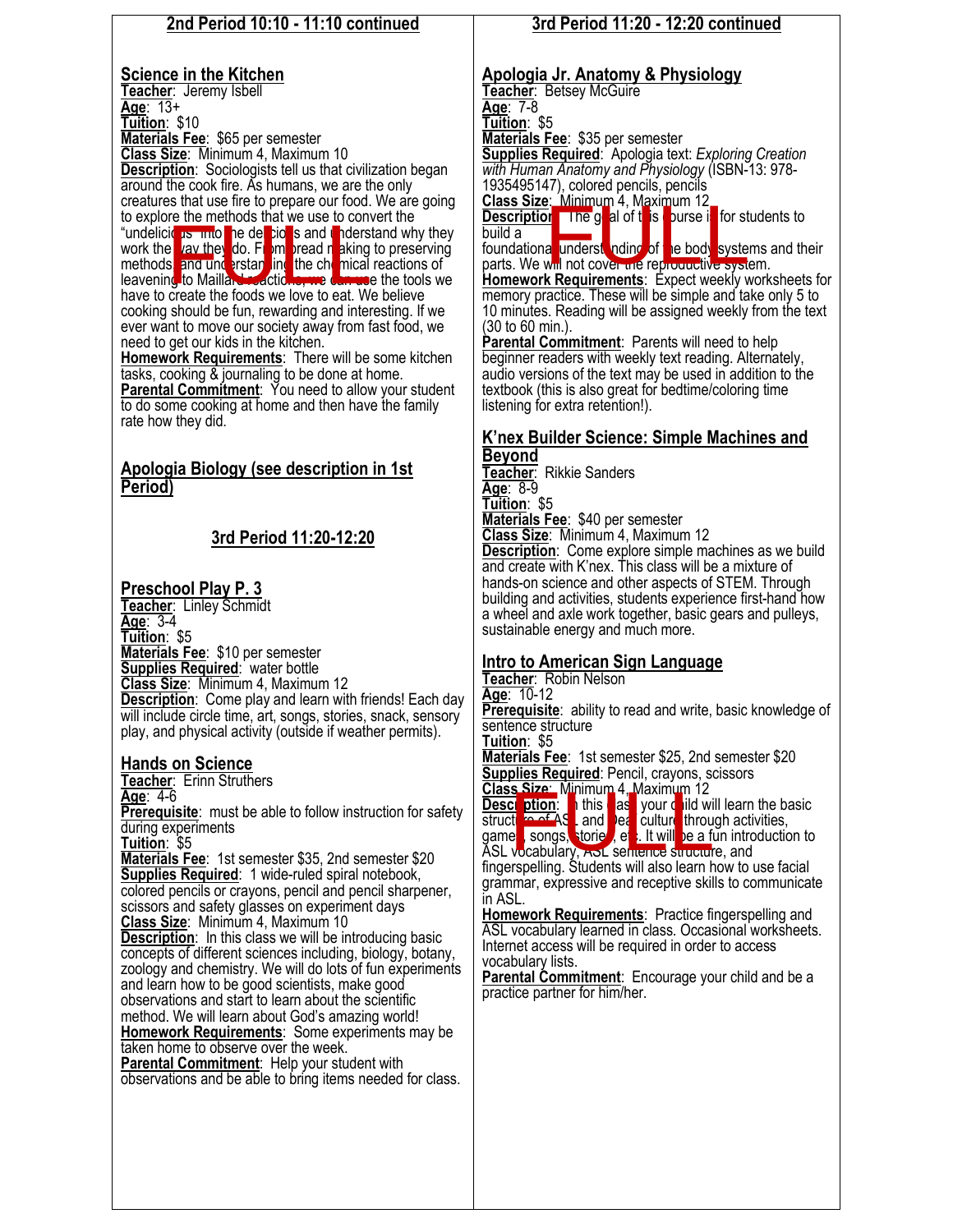#### **2nd Period 10:10 - 11:10 continued Science in the Kitchen Teacher**: Jeremy Isbell **Age**: 13+ **Tuition**: \$10 **Materials Fee**: \$65 per semester **Class Size**: Minimum 4, Maximum 10 **Description**: Sociologists tell us that civilization began around the cook fire. As humans, we are the only creatures that use fire to prepare our food. We are going to explore the methods that we use to convert the "undelicious into the delicious and understand why they work the way they do. From pread reaking to preserving methods, and understanding the chemical reactions of leavening to Maillard reactions, we can use the tools we have to create the foods we love to eat. We believe cooking should be fun, rewarding and interesting. If we ever want to move our society away from fast food, we need to get our kids in the kitchen. **Homework Requirements**: There will be some kitchen tasks, cooking & journaling to be done at home. **Parental Commitment**: You need to allow your student to do some cooking at home and then have the family rate how they did. **Apologia Biology (see description in 1st Period) 3rd Period 11:20-12:20 Preschool Play P. 3 Teacher**: Linley Schmidt **Age**: 3-4 **Tuition**: \$5 **Materials Fee**: \$10 per semester **Supplies Required**: water bottle **Class Size**: Minimum 4, Maximum 12 **Description**: Come play and learn with friends! Each day will include circle time, art, songs, stories, snack, sensory play, and physical activity (outside if weather permits). **Hands on Science Teacher**: Erinn Struthers **Age**: 4-6 **Prerequisite**: must be able to follow instruction for safety during experiments **Tuition**: \$5 **Materials Fee**: 1st semester \$35, 2nd semester \$20 **Supplies Required**: 1 wide-ruled spiral notebook, colored pencils or crayons, pencil and pencil sharpener, scissors and safety glasses on experiment days **Class Size**: Minimum 4, Maximum 10 **Description:** In this class we will be introducing basic concepts of different sciences including, biology, botany, zoology and chemistry. We will do lots of fun experiments and learn how to be good scientists, make good observations and start to learn about the scientific method. We will learn about God's amazing world! **Homework Requirements**: Some experiments may be taken home to observe over the week. **Parental Commitment**: Help your student with observations and be able to bring items needed for class. **Age**: 7-8 **Tuition**: \$5 build a **Beyond Age**: 8-9 **Tuition**: \$5 a wheel and axle work together, basic gears and pulleys, sustainable energy and much more. **Tuition**: \$5 in ASL. FULL TO THE STATE OF STATE OF THE STATE OF THE STATE OF THE STATE OF THE STATE OF THE STATE OF THE STATE OF THE STATE OF THE STATE OF THE STATE OF THE STATE OF THE STATE OF THE STATE OF THE STATE OF THE STATE OF THE STATE

## **3rd Period 11:20 - 12:20 continued**

## **Apologia Jr. Anatomy & Physiology**

**Teacher**: Betsey McGuire

**Materials Fee**: \$35 per semester

**Supplies Required**: Apologia text: *Exploring Creation with Human Anatomy and Physiology* (ISBN-13: 978- 1935495147), colored pencils, pencils

**Class Size**: Minimum 4, Maximum 12

**Description** The goal of this purse in for students to Class Size: Minimum 4, Maximum 12<br>Description The gral of this purse in for stude<br>build a<br>parts. We will not cover the reproductive systems<br>Hamowerk Boquicompute: Expondive system.

foundational understanding of the body systems and their

**Homework Requirements**: Expect weekly worksheets for memory practice. These will be simple and take only 5 to 10 minutes. Reading will be assigned weekly from the text (30 to 60 min.).

**Parental Commitment**: Parents will need to help beginner readers with weekly text reading. Alternately, audio versions of the text may be used in addition to the textbook (this is also great for bedtime/coloring time listening for extra retention!).

# **K'nex Builder Science: Simple Machines and**

**Teacher**: Rikkie Sanders **Materials Fee**: \$40 per semester **Class Size**: Minimum 4, Maximum 12 **Description:** Come explore simple machines as we build and create with K'nex. This class will be a mixture of hands-on science and other aspects of STEM. Through building and activities, students experience first-hand how

## **Intro to American Sign Language**

**Teacher**: Robin Nelson

**Age**: 10-12

**Prerequisite**: ability to read and write, basic knowledge of sentence structure

**Materials Fee**: 1st semester \$25, 2nd semester \$20 **Supplies Required**: Pencil, crayons, scissors

**Class Size**: Minimum 4, Maximum 12 **Description: I** this as your child will learn the basic structule of ASL and Deaf culture through activities,

games, songs, storie , et . It will be a fun introduction to ASL vocabulary, AOL sentence structure, and

fingerspelling. Students will also learn how to use facial grammar, expressive and receptive skills to communicate

**Homework Requirements**: Practice fingerspelling and ASL vocabulary learned in class. Occasional worksheets. Internet access will be required in order to access vocabulary lists.

**Parental Commitment**: Encourage your child and be a

practice partner for him/her.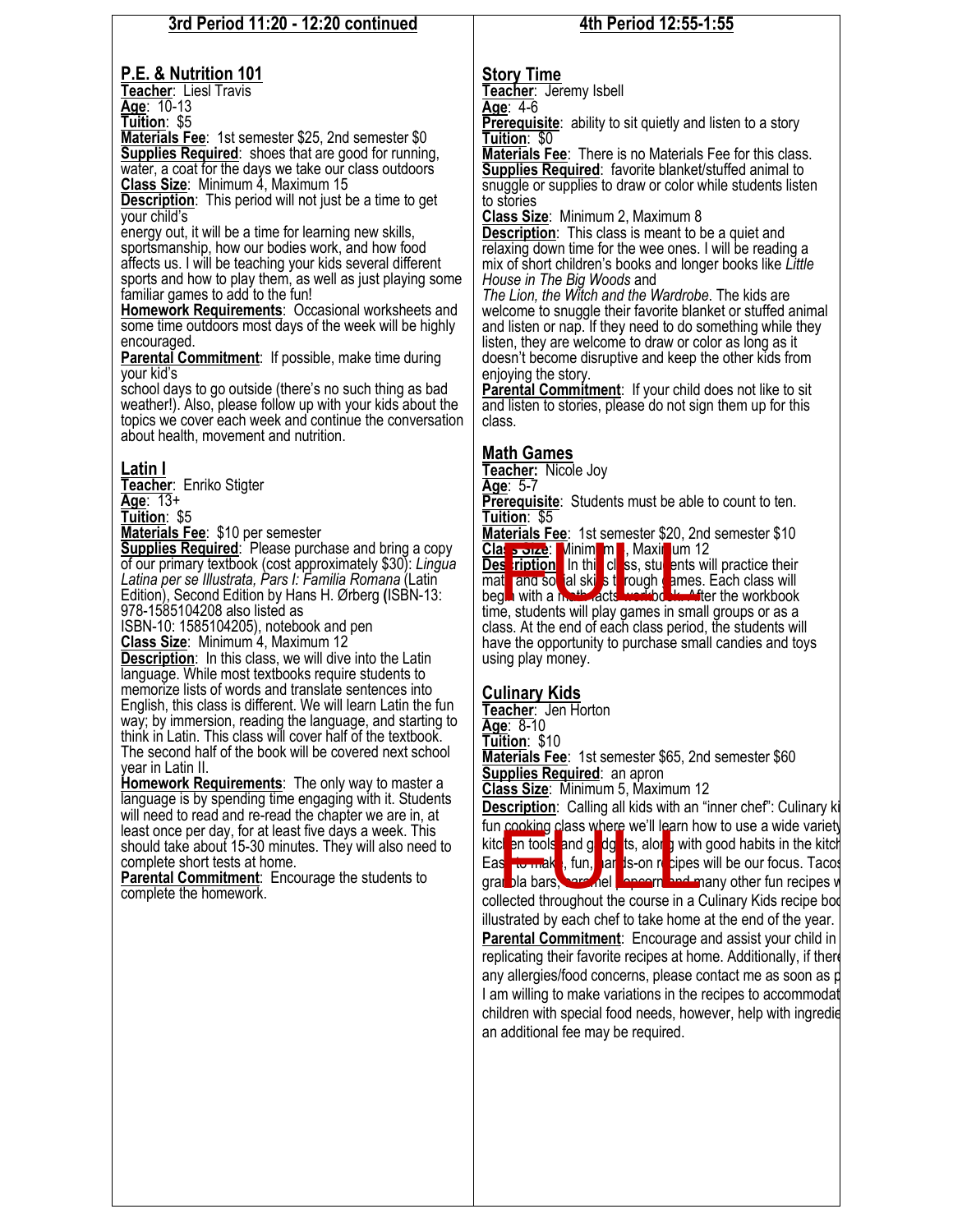#### **3rd Period 11:20 - 12:20 continued**

#### **P.E. & Nutrition 101**

**Teacher**: Liesl Travis

**Age**: 10-13

**Tuition**: \$5 **Materials Fee**: 1st semester \$25, 2nd semester \$0 **Supplies Required:** shoes that are good for running, water, a coat for the days we take our class outdoors **Class Size**: Minimum 4, Maximum 15

**Description**: This period will not just be a time to get your child's

energy out, it will be a time for learning new skills, sportsmanship, how our bodies work, and how food affects us. I will be teaching your kids several different sports and how to play them, as well as just playing some familiar games to add to the fun!

**Homework Requirements**: Occasional worksheets and some time outdoors most days of the week will be highly encouraged.

**Parental Commitment:** If possible, make time during your kid's

school days to go outside (there's no such thing as bad weather!). Also, please follow up with your kids about the topics we cover each week and continue the conversation about health, movement and nutrition.

#### **Latin I**

**Teacher**:Enriko Stigter **Age**: 13+

**Tuition**: \$5

**Materials Fee**: \$10 per semester

**Supplies Required**: Please purchase and bring a copy of our primary textbook (cost approximately \$30): *Lingua Latina per se Illustrata, Pars I: Familia Romana* (Latin Edition), Second Edition by Hans H. Ørberg **(**ISBN-13: 978-1585104208 also listed as

ISBN-10: 1585104205), notebook and pen **Class Size: Minimum 4, Maximum 12** 

**Description:** In this class, we will dive into the Latin language. While most textbooks require students to memorize lists of words and translate sentences into English, this class is different. We will learn Latin the fun way; by immersion, reading the language, and starting to think in Latin. This class will cover half of the textbook. The second half of the book will be covered next school year in Latin II.

**Homework Requirements**: The only way to master a language is by spending time engaging with it. Students will need to read and re-read the chapter we are in, at least once per day, for at least five days a week. This should take about 15-30 minutes. They will also need to complete short tests at home.

**Parental Commitment**: Encourage the students to complete the homework.

## **4th Period 12:55-1:55**

#### **Story Time**

**Teacher**: Jeremy Isbell **Age**: 4-6

**Prerequisite**: ability to sit quietly and listen to a story **Tuition**: \$0

**Materials Fee**: There is no Materials Fee for this class. **Supplies Required**: favorite blanket/stuffed animal to snuggle or supplies to draw or color while students listen to stories

**Class Size**: Minimum 2, Maximum 8

**Description**: This class is meant to be a quiet and relaxing down time for the wee ones. I will be reading a mix of short children's books and longer books like *Little House in The Big Woods* and

*The Lion, the Witch and the Wardrobe*. The kids are welcome to snuggle their favorite blanket or stuffed animal and listen or nap. If they need to do something while they listen, they are welcome to draw or color as long as it doesn't become disruptive and keep the other kids from enjoying the story.

**Parental Commitment**:If your child does not like to sit and listen to stories, please do not sign them up for this class.

## **Math Games**

**Teacher:** Nicole Joy **Age**: 5-7

**Prerequisite:** Students must be able to count to ten. **Tuition**: \$5

**Materials Fee**: 1st semester \$20, 2nd semester \$10 **Class Size:** Minimum 4, Maximum 12

**Des** rintion In thincless, students will practice their math and social skills through games. Each class will **Class Solvet Class workbook**<br> **Class Solvet:** Vinim m , Maximum 12<br> **Deserting the math facts workbook**<br>
Function and so all skills to rough a mes. Each class will<br>
begin with a mathematic workbook and facts workbook<br>
fin begin with a moth acts we hold in After the workbook<br>time, students will play games in small groups or as a class. At the end of each class period, the students will have the opportunity to purchase small candies and toys using play money.

#### **Culinary Kids**

**Teacher**: Jen Horton

**Age**: 8-10

**Tuition**: \$10

**Materials Fee**: 1st semester \$65, 2nd semester \$60 **Supplies Required**: an apron

**Class Size**: Minimum 5, Maximum 12

**Description:** Calling all kids with an "inner chef": Culinary k fun cooking class where we'll learn how to use a wide variety kitchen tools and g<mark>adg</mark>ets, along with good habits in the kitch Eas**t to make, fun, hands-on recipes will be our focus. Tacos** granola bars, caramel **Popcorn and m**any other fun recipes will collected throughout the course in a Culinary Kids recipe book illustrated by each chef to take home at the end of the year. **Parental Commitment:** Encourage and assist your child in replicating their favorite recipes at home. Additionally, if there any allergies/food concerns, please contact me as soon as possible. I am willing to make variations in the recipes to accommodat children with special food needs, however, help with ingredie an additional fee may be required. a cooking class where we'll learn ho<br>class to make , fun, and soon is with<br>starbla bars, same detailed throughout the course in a (<br>llected throughout the course in a (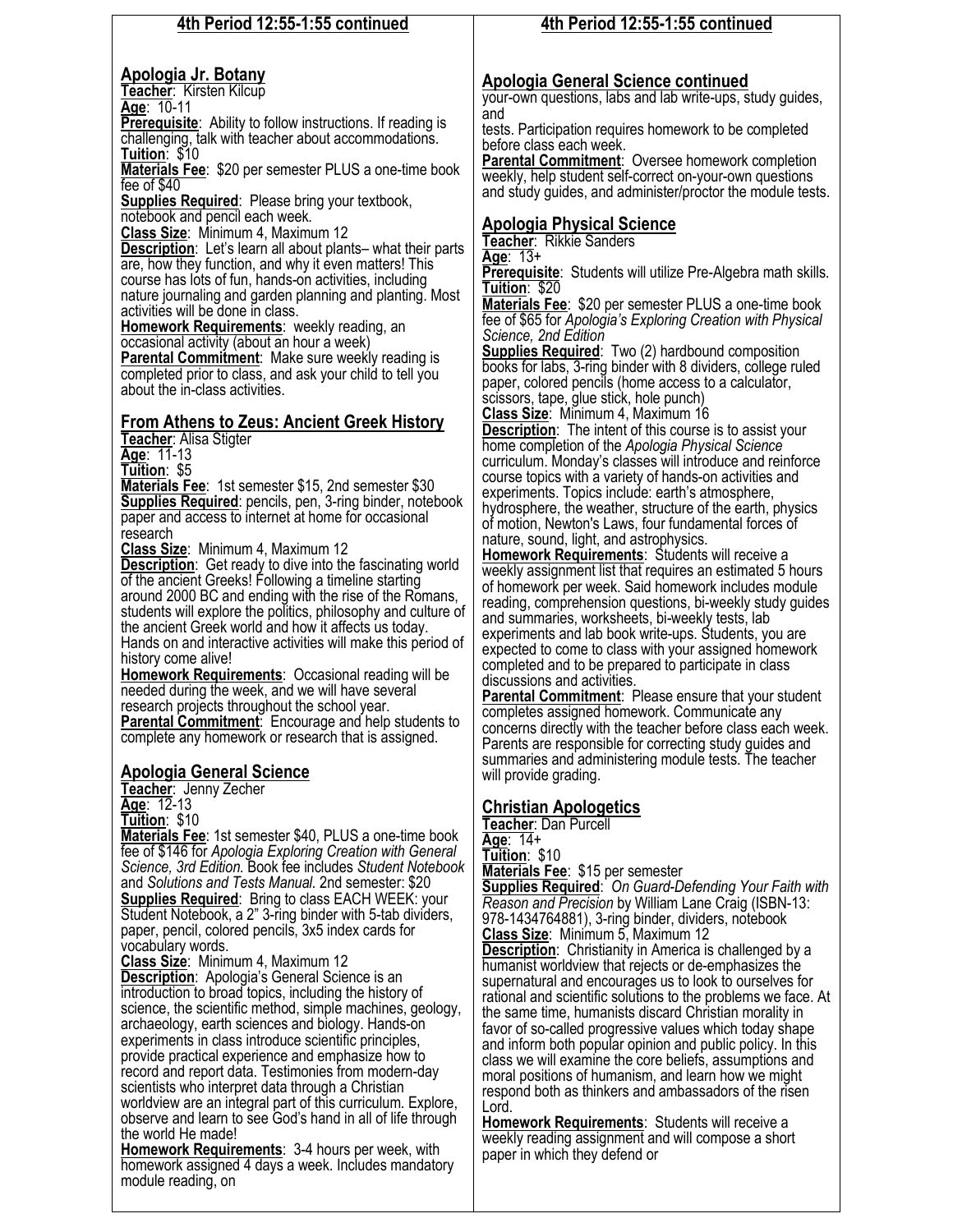#### **4th Period 12:55-1:55 continued**

#### **Apologia Jr. Botany**

**Teacher**:Kirsten Kilcup **Age**:10-11

**Prerequisite:** Ability to follow instructions. If reading is challenging, talk with teacher about accommodations. **Tuition**:\$10

**Materials Fee**:\$20 per semester PLUS a one-time book fee of \$40

**Supplies Required**:Please bring your textbook, notebook and pencil each week.

**Class Size**:Minimum 4, Maximum 12

**Description**:Let's learn all about plants– what their parts are, how they function, and why it even matters! This course has lots of fun, hands-on activities, including nature journaling and garden planning and planting. Most activities will be done in class.

**Homework Requirements**:weekly reading, an occasional activity (about an hour a week) **Parental Commitment:** Make sure weekly reading is

completed prior to class, and ask your child to tell you about the in-class activities.

## **From Athens to Zeus: Ancient Greek History**

**Teacher**: Alisa Stigter

**Age**: 11-13

**Tuition**: \$5

**Materials Fee**: 1st semester \$15, 2nd semester \$30 **Supplies Required**: pencils, pen, 3-ring binder, notebook paper and access to internet at home for occasional research

**Class Size**: Minimum 4, Maximum 12

**Description**: Get ready to dive into the fascinating world of the ancient Greeks! Following a timeline starting around 2000 BC and ending with the rise of the Romans, students will explore the politics, philosophy and culture of the ancient Greek world and how it affects us today. Hands on and interactive activities will make this period of

history come alive!

**Homework Requirements**: Occasional reading will be needed during the week, and we will have several research projects throughout the school year. **Parental Commitment**: Encourage and help students to

complete any homework or research that is assigned.

#### **Apologia General Science**

**Teacher**: Jenny Zecher

**Age**: 12-13 **Tuition**: \$10

**Materials Fee**: 1st semester \$40, PLUS a one-time book fee of \$146 for *Apologia Exploring Creation with General Science, 3rd Edition.* Book fee includes *Student Notebook*  and *Solutions and Tests Manual.* 2nd semester: \$20 **Supplies Required:** Bring to class EACH WEEK: your Student Notebook, a 2" 3-ring binder with 5-tab dividers, paper, pencil, colored pencils, 3x5 index cards for vocabulary words.

**Class Size**: Minimum 4, Maximum 12

**Description**: Apologia's General Science is an introduction to broad topics, including the history of science, the scientific method, simple machines, geology, archaeology, earth sciences and biology. Hands-on experiments in class introduce scientific principles, provide practical experience and emphasize how to record and report data. Testimonies from modern-day scientists who interpret data through a Christian worldview are an integral part of this curriculum. Explore, observe and learn to see God's hand in all of life through the world He made!

**Homework Requirements**: 3-4 hours per week, with homework assigned 4 days a week. Includes mandatory module reading, on

## **4th Period 12:55-1:55 continued**

## **Apologia General Science continued**

your-own questions, labs and lab write-ups, study guides, and

tests. Participation requires homework to be completed before class each week.

**Parental Commitment:** Oversee homework completion weekly, help student self-correct on-your-own questions and study guides, and administer/proctor the module tests.

## **Apologia Physical Science**

**Teacher**: Rikkie Sanders

**Age**: 13+

**Prerequisite**: Students will utilize Pre-Algebra math skills. **Tuition**: \$20

**Materials Fee**: \$20 per semester PLUS a one-time book fee of \$65 for *Apologia's Exploring Creation with Physical Science, 2nd Edition*

**Supplies Required**: Two (2) hardbound composition books for labs, 3-ring binder with 8 dividers, college ruled paper, colored pencils (home access to a calculator, scissors, tape, glue stick, hole punch)

**Class Size**: Minimum 4, Maximum 16

**Description**: The intent of this course is to assist your home completion of the *Apologia Physical Science*  curriculum. Monday's classes will introduce and reinforce course topics with a variety of hands-on activities and experiments. Topics include: earth's atmosphere, hydrosphere, the weather, structure of the earth, physics of motion, Newton's Laws, four fundamental forces of nature, sound, light, and astrophysics.

**Homework Requirements**:Students will receive a weekly assignment list that requires an estimated 5 hours of homework per week. Said homework includes module reading, comprehension questions, bi-weekly study guides and summaries, worksheets, bi-weekly tests, lab experiments and lab book write-ups. Students, you are expected to come to class with your assigned homework completed and to be prepared to participate in class discussions and activities.

**Parental Commitment**:Please ensure that your student completes assigned homework. Communicate any concerns directly with the teacher before class each week. Parents are responsible for correcting study guides and summaries and administering module tests. The teacher will provide grading.

#### **Christian Apologetics**

**Teacher**: Dan Purcell **Age**: 14+ **Tuition**: \$10

**Materials Fee**: \$15 per semester

**Supplies Required**: *On Guard-Defending Your Faith with Reason and Precision* by William Lane Craig (ISBN-13: 978-1434764881), 3-ring binder, dividers, notebook **Class Size**: Minimum 5, Maximum 12

**Description**: Christianity in America is challenged by a humanist worldview that rejects or de-emphasizes the supernatural and encourages us to look to ourselves for rational and scientific solutions to the problems we face. At the same time, humanists discard Christian morality in favor of so-called progressive values which today shape and inform both popular opinion and public policy. In this class we will examine the core beliefs, assumptions and moral positions of humanism, and learn how we might respond both as thinkers and ambassadors of the risen Lord.

**Homework Requirements**: Students will receive a weekly reading assignment and will compose a short paper in which they defend or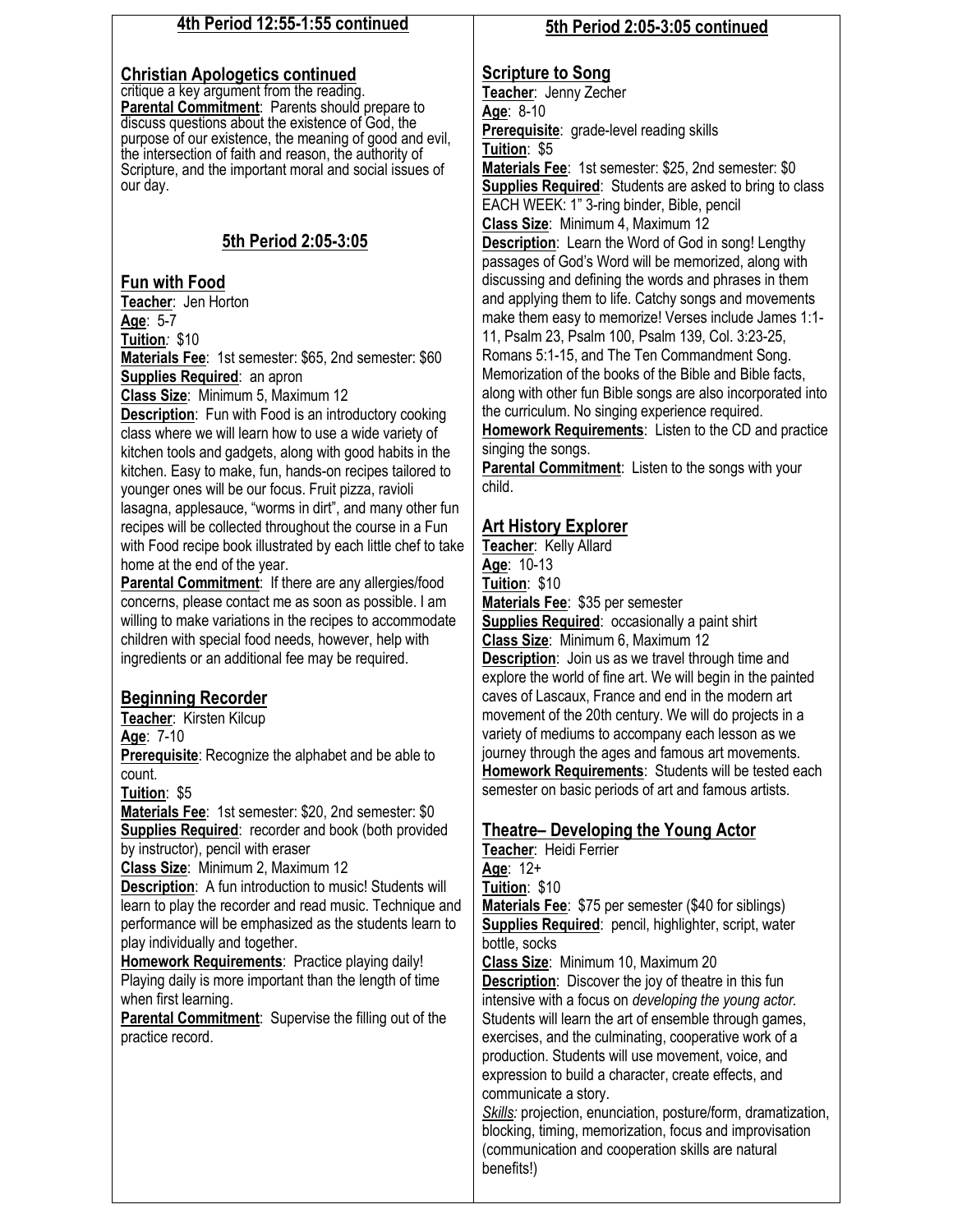#### **4th Period 12:55-1:55 continued**

#### **Christian Apologetics continued**

critique a key argument from the reading. **Parental Commitment**: Parents should prepare to discuss questions about the existence of God, the purpose of our existence, the meaning of good and evil, the intersection of faith and reason, the authority of Scripture, and the important moral and social issues of our day.

## **5th Period 2:05-3:05**

## **Fun with Food**

**Teacher**: Jen Horton **Age**: 5-7

**Tuition***:* \$10

**Materials Fee**: 1st semester: \$65, 2nd semester: \$60 **Supplies Required**: an apron

**Class Size**: Minimum 5, Maximum 12

**Description**: Fun with Food is an introductory cooking class where we will learn how to use a wide variety of kitchen tools and gadgets, along with good habits in the kitchen. Easy to make, fun, hands-on recipes tailored to younger ones will be our focus. Fruit pizza, ravioli lasagna, applesauce, "worms in dirt", and many other fun recipes will be collected throughout the course in a Fun with Food recipe book illustrated by each little chef to take home at the end of the year.

**Parental Commitment**: If there are any allergies/food concerns, please contact me as soon as possible. I am willing to make variations in the recipes to accommodate children with special food needs, however, help with ingredients or an additional fee may be required.

## **Beginning Recorder**

**Teacher**: Kirsten Kilcup

**Age**: 7-10

**Prerequisite**: Recognize the alphabet and be able to count.

**Tuition**: \$5

**Materials Fee**: 1st semester: \$20, 2nd semester: \$0 **Supplies Required**: recorder and book (both provided by instructor), pencil with eraser

**Class Size**: Minimum 2, Maximum 12

**Description:** A fun introduction to music! Students will learn to play the recorder and read music. Technique and performance will be emphasized as the students learn to play individually and together.

**Homework Requirements**: Practice playing daily! Playing daily is more important than the length of time when first learning.

**Parental Commitment**: Supervise the filling out of the practice record.

#### **5th Period 2:05-3:05 continued**

### **Scripture to Song**

**Teacher**: Jenny Zecher **Age**: 8-10 **Prerequisite**: grade-level reading skills **Tuition**: \$5

**Materials Fee**: 1st semester: \$25, 2nd semester: \$0 **Supplies Required**: Students are asked to bring to class EACH WEEK: 1" 3-ring binder, Bible, pencil **Class Size**: Minimum 4, Maximum 12

**Description**: Learn the Word of God in song! Lengthy passages of God's Word will be memorized, along with discussing and defining the words and phrases in them and applying them to life. Catchy songs and movements make them easy to memorize! Verses include James 1:1- 11, Psalm 23, Psalm 100, Psalm 139, Col. 3:23-25, Romans 5:1-15, and The Ten Commandment Song. Memorization of the books of the Bible and Bible facts, along with other fun Bible songs are also incorporated into

the curriculum. No singing experience required.

**Homework Requirements**: Listen to the CD and practice singing the songs.

**Parental Commitment:** Listen to the songs with your child.

## **Art History Explorer**

**Teacher**: Kelly Allard **Age**: 10-13 **Tuition**: \$10 **Materials Fee**: \$35 per semester **Supplies Required**: occasionally a paint shirt **Class Size**: Minimum 6, Maximum 12 **Description**: Join us as we travel through time and explore the world of fine art. We will begin in the painted caves of Lascaux, France and end in the modern art movement of the 20th century. We will do projects in a variety of mediums to accompany each lesson as we journey through the ages and famous art movements. **Homework Requirements**: Students will be tested each semester on basic periods of art and famous artists.

#### **Theatre– Developing the Young Actor**

**Teacher**: Heidi Ferrier **Age**: 12+

**Tuition**: \$10

**Materials Fee**: \$75 per semester (\$40 for siblings) **Supplies Required**: pencil, highlighter, script, water bottle, socks

**Class Size**: Minimum 10, Maximum 20 **Description**: Discover the joy of theatre in this fun intensive with a focus on *developing the young actor.*  Students will learn the art of ensemble through games,

exercises, and the culminating, cooperative work of a production. Students will use movement, voice, and expression to build a character, create effects, and communicate a story.

*Skills:* projection, enunciation, posture/form, dramatization, blocking, timing, memorization, focus and improvisation (communication and cooperation skills are natural benefits!)